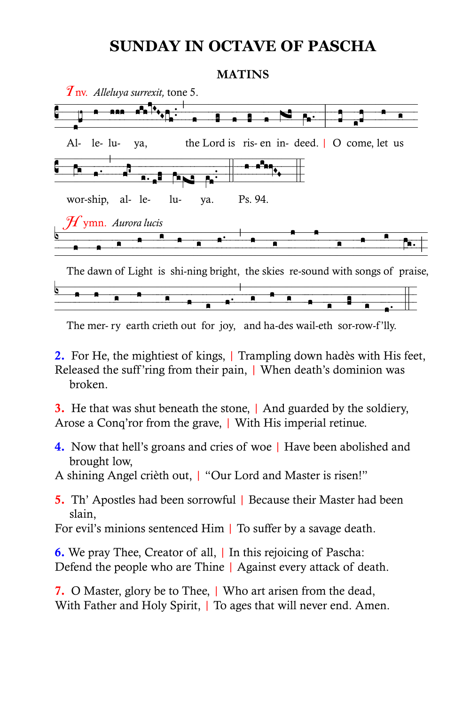## **SUNDAY IN OCTAVE OF PASCHA**

## **MATINS**



The mer- ry earth crieth out for joy, and ha-des wail-eth sor-row-f'lly.

**2.** For He, the mightiest of kings, Trampling down hades with His feet, Released the suff ring from their pain, | When death's dominion was hroken

3. He that was shut beneath the stone, | And guarded by the soldiery, Arose a Conq'ror from the grave, | With His imperial retinue.

4. Now that hell's groans and cries of woe | Have been abolished and brought low.

A shining Angel crieth out, I "Our Lord and Master is risen!"

5. Th' Apostles had been sorrowful | Because their Master had been slain,

For evil's minions sentenced Him | To suffer by a savage death.

**6.** We pray Thee, Creator of all, I In this rejoicing of Pascha: Defend the people who are Thine | Against every attack of death.

7. O Master, glory be to Thee, | Who art arisen from the dead, With Father and Holy Spirit, | To ages that will never end. Amen.